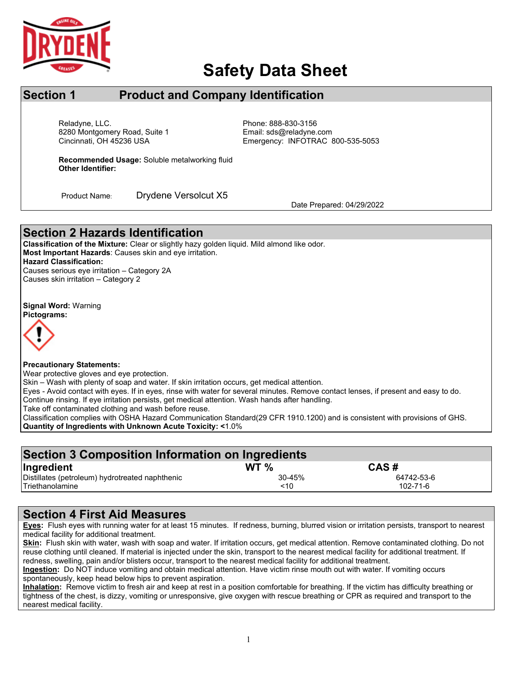

## **Safety Data Sheet**

## **Section 1 Product and Company Identification**

Cincinnati, OH 45236 USA Reladyne, LLC.<br>8280 Montgomery Road, Suite 1 Fissue Controller Email: sds@reladyne.com 8280 Montgomery Road, Suite 1

Emergency: INFOTRAC 800-535-5053

**Recommended Usage:** Soluble metalworking fluid **Other Identifier:**

Product Name: Drydene Versolcut X5 Date Prepared: 04/29/2022

### **Section 2 Hazards Identification**

**Classification of the Mixture:** Clear or slightly hazy golden liquid. Mild almond like odor. **Most Important Hazards**: Causes skin and eye irritation. **Hazard Classification:** Causes serious eye irritation – Category 2A Causes skin irritation – Category 2

**Signal Word:** Warning **Pictograms:**



I

**Precautionary Statements:**

Wear protective gloves and eve protection.

Skin – Wash with plenty of soap and water. If skin irritation occurs, get medical attention.

Eyes - Avoid contact with eyes. If in eyes, rinse with water for several minutes. Remove contact lenses, if present and easy to do.

Continue rinsing. If eye irritation persists, get medical attention. Wash hands after handling.

Take off contaminated clothing and wash before reuse.

Classification complies with OSHA Hazard Communication Standard(29 CFR 1910.1200) and is consistent with provisions of GHS. **Quantity of Ingredients with Unknown Acute Toxicity: <**1.0%

| Section 3 Composition Information on Ingredients |                 |            |  |  |  |  |
|--------------------------------------------------|-----------------|------------|--|--|--|--|
| Ingredient                                       | WT <sub>%</sub> | CAS#       |  |  |  |  |
| Distillates (petroleum) hydrotreated naphthenic  | 30-45%          | 64742-53-6 |  |  |  |  |
| <b>Triethanolamine</b>                           | ~10             | 102-71-6   |  |  |  |  |

### **Section 4 First Aid Measures**

**Eyes:** Flush eyes with running water for at least 15 minutes. If redness, burning, blurred vision or irritation persists, transport to nearest medical facility for additional treatment.

**Skin:** Flush skin with water, wash with soap and water. If irritation occurs, get medical attention. Remove contaminated clothing. Do not reuse clothing until cleaned. If material is injected under the skin, transport to the nearest medical facility for additional treatment. If redness, swelling, pain and/or blisters occur, transport to the nearest medical facility for additional treatment.

**Ingestion:** Do NOT induce vomiting and obtain medical attention. Have victim rinse mouth out with water. If vomiting occurs spontaneously, keep head below hips to prevent aspiration.

**Inhalation:** Remove victim to fresh air and keep at rest in a position comfortable for breathing. If the victim has difficulty breathing or tightness of the chest, is dizzy, vomiting or unresponsive, give oxygen with rescue breathing or CPR as required and transport to the nearest medical facility.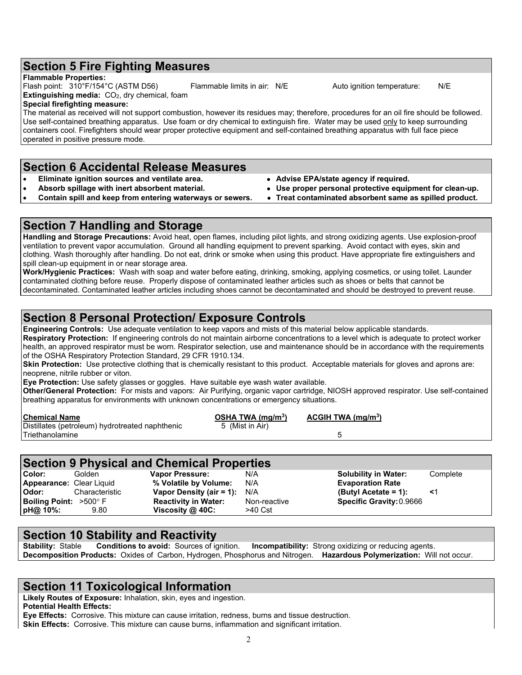#### **Section 5 Fire Fighting Measures**

#### **Flammable Properties:**

Flash point: 310°F/154°C (ASTM D56) Flammable limits in air: N/E Auto ignition temperature: N/E **Extinguishing media: CO**<sub>2</sub>, dry chemical, foam

#### **Special firefighting measure:**

The material as received will not support combustion, however its residues may; therefore, procedures for an oil fire should be followed. Use self-contained breathing apparatus. Use foam or dry chemical to extinguish fire. Water may be used only to keep surrounding containers cool. Firefighters should wear proper protective equipment and self-contained breathing apparatus with full face piece operated in positive pressure mode.

#### **Section 6 Accidental Release Measures**

- 
- **Eliminate ignition sources and ventilate area. Advise EPA/state agency if required.**
- **Contain spill and keep from entering waterways or sewers.** •
- 
- Use proper personal protective equipment for clean-up.<br>Treat contaminated absorbent same as spilled product.
	-

#### **Section 7 Handling and Storage**

**Handling and Storage Precautions:** Avoid heat, open flames, including pilot lights, and strong oxidizing agents. Use explosion-proof ventilation to prevent vapor accumulation. Ground all handling equipment to prevent sparking. Avoid contact with eyes, skin and clothing. Wash thoroughly after handling. Do not eat, drink or smoke when using this product. Have appropriate fire extinguishers and spill clean-up equipment in or near storage area.

**Work/Hygienic Practices:** Wash with soap and water before eating, drinking, smoking, applying cosmetics, or using toilet. Launder contaminated clothing before reuse. Properly dispose of contaminated leather articles such as shoes or belts that cannot be decontaminated. Contaminated leather articles including shoes cannot be decontaminated and should be destroyed to prevent reuse.

#### **Section 8 Personal Protection/ Exposure Controls**

**Engineering Controls:** Use adequate ventilation to keep vapors and mists of this material below applicable standards.

**Respiratory Protection:** If engineering controls do not maintain airborne concentrations to a level which is adequate to protect worker health, an approved respirator must be worn. Respirator selection, use and maintenance should be in accordance with the requirements of the OSHA Respiratory Protection Standard, 29 CFR 1910.134.

**Skin Protection:** Use protective clothing that is chemically resistant to this product. Acceptable materials for gloves and aprons are: neoprene, nitrile rubber or viton.

**Eye Protection:** Use safety glasses or goggles. Have suitable eye wash water available.

**Other/General Protection:** For mists and vapors: Air Purifying, organic vapor cartridge, NIOSH approved respirator. Use self-contained breathing apparatus for environments with unknown concentrations or emergency situations.

| <b>Chemical Name</b>                            | OSHA TWA (mg/m <sup>3</sup> ) | ACGH TWA (mq/m <sup>3</sup> ) |
|-------------------------------------------------|-------------------------------|-------------------------------|
| Distillates (petroleum) hydrotreated naphthenic | 5 (Mist in Air)               |                               |
| Triethanolamine                                 |                               |                               |

| <b>Section 9 Physical and Chemical Properties</b> |                |                                |              |                             |          |  |  |
|---------------------------------------------------|----------------|--------------------------------|--------------|-----------------------------|----------|--|--|
| Color:                                            | Golden         | <b>Vapor Pressure:</b>         | N/A          | <b>Solubility in Water:</b> | Complete |  |  |
| <b>Appearance: Clear Liquid</b>                   |                | % Volatile by Volume:          | N/A          | <b>Evaporation Rate</b>     |          |  |  |
| Odor:                                             | Characteristic | Vapor Density (air = 1): $N/A$ |              | (Butyl Acetate = 1):        |          |  |  |
| <b>Boiling Point:</b> $>500^\circ$ F              |                | <b>Reactivity in Water:</b>    | Non-reactive | Specific Gravity: 0.9666    |          |  |  |
| pH@ 10%:                                          | 9.80           | Viscosity $@$ 40C:             | >40 Cst      |                             |          |  |  |

# **Section 10 Stability and Reactivity**<br>**Stability:** Stable **Conditions to avoid:** Sources of ignition.

**Incompatibility:** Strong oxidizing or reducing agents. **Decomposition Products:** Oxides of Carbon, Hydrogen, Phosphorus and Nitrogen. **Hazardous Polymerization:** Will not occur.

#### **Section 11 Toxicological Information**

**Likely Routes of Exposure:** Inhalation, skin, eyes and ingestion. **Potential Health Effects:**

**Eye Effects:** Corrosive. This mixture can cause irritation, redness, burns and tissue destruction.

**Skin Effects:** Corrosive. This mixture can cause burns, inflammation and significant irritation.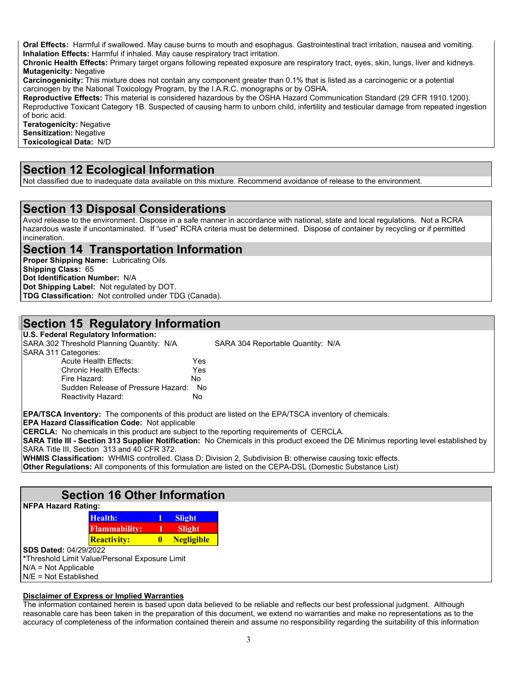**Oral Effects:** Harmful if swallowed. May cause burns to mouth and esophagus. Gastrointestinal tract irritation, nausea and vomiting. **Inhalation Effects:** Harmful if inhaled. May cause respiratory tract irritation.

**Chronic Health Effects:** Primary target organs following repeated exposure are respiratory tract, eyes, skin, lungs, liver and kidneys. **Mutagenicity:** Negative

**Carcinogenicity:** This mixture does not contain any component greater than 0.1% that is listed as a carcinogenic or a potential carcinogen by the National Toxicology Program, by the I.A.R.C. monographs or by OSHA.

**Reproductive Effects:** This material is considered hazardous by the OSHA Hazard Communication Standard (29 CFR 1910.1200). Reproductive Toxicant Category 1B. Suspected of causing harm to unborn child, infertility and testicular damage from repeated ingestion of boric acid.

**Teratogenicity:** Negative **Sensitization: Negative Toxicological Data:** N/D

#### **Section 12 Ecological Information**

Not classified due to inadequate data available on this mixture. Recommend avoidance of release to the environment.

#### **Section 13 Disposal Considerations**

Avoid release to the environment. Dispose in a safe manner in accordance with national, state and local regulations. Not a RCRA hazardous waste if uncontaminated. If "used" RCRA criteria must be determined. Dispose of container by recycling or if permitted incineration.

#### **Section 14 Transportation Information**

**Proper Shipping Name:** Lubricating Oils. **Shipping Class:** 65 **Dot Identification Number:** N/A **Dot Shipping Label:** Not regulated by DOT. **TDG Classification:** Not controlled under TDG (Canada).

#### **Section 15 Regulatory Information**

**U.S. Federal Regulatory Information:** SARA 302 Threshold Planning Quantity: N/A SARA 304 Reportable Quantity: N/A SARA 311 Categories: Acute Health Effects: Yes Chronic Health Effects: Fire Hazard: No Sudden Release of Pressure Hazard: No Reactivity Hazard: No

**EPA/TSCA Inventory:** The components of this product are listed on the EPA/TSCA inventory of chemicals.

**EPA Hazard Classification Code:** Not applicable

**CERCLA:** No chemicals in this product are subject to the reporting requirements of CERCLA.

**Slight Slight** 

**SARA Title III - Section 313 Supplier Notification:** No Chemicals in this product exceed the DE Minimus reporting level established by SARA Title III, Section 313 and 40 CFR 372.

**WHMIS Classification:** WHMIS controlled. Class D; Division 2, Subdivision B: otherwise causing toxic effects.

**Other Regulations:** All components of this formulation are listed on the CEPA-DSL (Domestic Substance List)

### **Section 16 Other Information**

| <b>NFPA Hazard Rating:</b> |                     |  |  |
|----------------------------|---------------------|--|--|
|                            | Health:             |  |  |
|                            | <b>Flammahility</b> |  |  |

**Reactivity: 0 Negligible SDS Dated:** 04/29/2022 **\***Threshold Limit Value/Personal Exposure Limit N/A = Not Applicable N/E = Not Established

#### **Disclaimer of Express or Implied Warranties**

The information contained herein is based upon data believed to be reliable and reflects our best professional judgment. Although reasonable care has been taken in the preparation of this document, we extend no warranties and make no representations as to the accuracy of completeness of the information contained therein and assume no responsibility regarding the suitability of this information